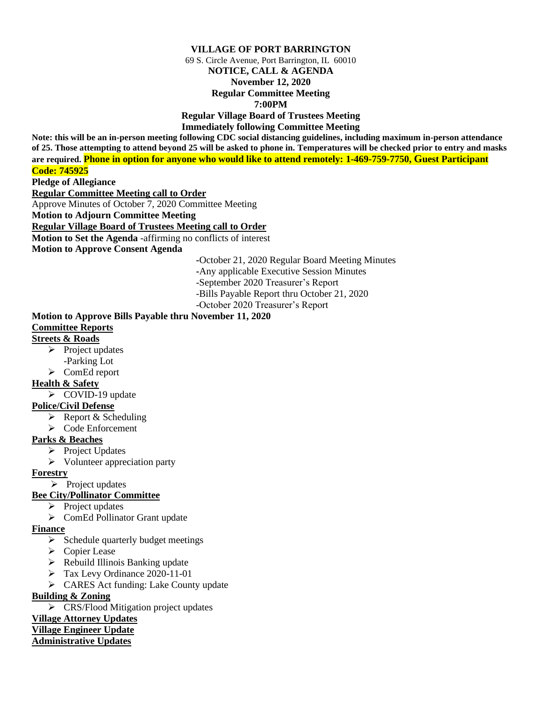# **VILLAGE OF PORT BARRINGTON**

69 S. Circle Avenue, Port Barrington, IL 60010

#### **NOTICE, CALL & AGENDA November 12, 2020**

**Regular Committee Meeting 7:00PM**

**Regular Village Board of Trustees Meeting Immediately following Committee Meeting**

**Note: this will be an in-person meeting following CDC social distancing guidelines, including maximum in-person attendance of 25. Those attempting to attend beyond 25 will be asked to phone in. Temperatures will be checked prior to entry and masks are required. Phone in option for anyone who would like to attend remotely: 1-469-759-7750, Guest Participant Code: 745925**

**Pledge of Allegiance**

**Regular Committee Meeting call to Order**

Approve Minutes of October 7, 2020 Committee Meeting

**Motion to Adjourn Committee Meeting**

**Regular Village Board of Trustees Meeting call to Order**

**Motion to Set the Agenda** -affirming no conflicts of interest

**Motion to Approve Consent Agenda**

**-**October 21, 2020 Regular Board Meeting Minutes

**-**Any applicable Executive Session Minutes

-September 2020 Treasurer's Report

-Bills Payable Report thru October 21, 2020

-October 2020 Treasurer's Report

# **Motion to Approve Bills Payable thru November 11, 2020**

### **Committee Reports**

# **Streets & Roads**

- ➢ Project updates
- -Parking Lot
- ➢ ComEd report

## **Health & Safety**

➢ COVID-19 update

# **Police/Civil Defense**

- $\triangleright$  Report & Scheduling
- ➢ Code Enforcement

## **Parks & Beaches**

- ➢ Project Updates
- ➢ Volunteer appreciation party

## **Forestry**

 $\triangleright$  Project updates

## **Bee City/Pollinator Committee**

- ➢ Project updates
- ➢ ComEd Pollinator Grant update

## **Finance**

- ➢ Schedule quarterly budget meetings
- ➢ Copier Lease
- $\triangleright$  Rebuild Illinois Banking update
- ➢ Tax Levy Ordinance 2020-11-01
- ➢ CARES Act funding: Lake County update

# **Building & Zoning**

➢ CRS/Flood Mitigation project updates

# **Village Attorney Updates**

**Village Engineer Update**

# **Administrative Updates**